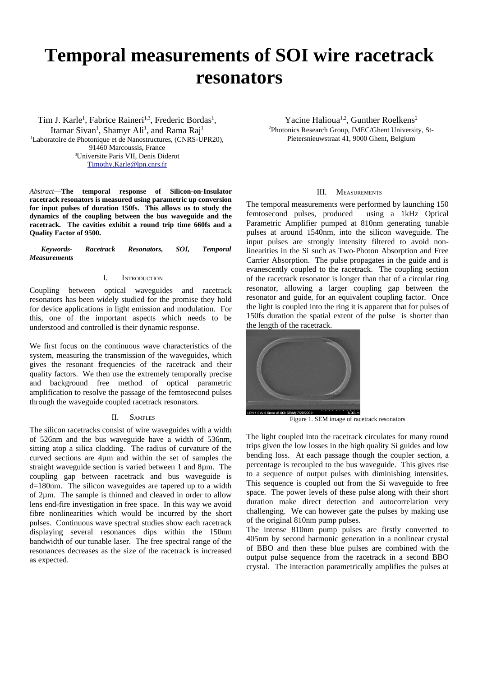# **Temporal measurements of SOI wire racetrack resonators**

Tim J. Karle<sup>1</sup>, Fabrice Raineri<sup>1,3</sup>, Frederic Bordas<sup>1</sup>, Itamar Sivan<sup>1</sup>, Shamyr Ali<sup>1</sup>, and Rama Raj<sup>1</sup> <sup>1</sup>Laboratoire de Photonique et de Nanostructures, (CNRS-UPR20), 91460 Marcoussis, France <sup>3</sup>Universite Paris VII, Denis Diderot [Timothy.Karle@lpn.cnrs.fr](mailto:Timothy.Karle@lpn.cnrs.fr)

*Abstract***—The temporal response of Silicon-on-Insulator racetrack resonators is measured using parametric up conversion for input pulses of duration 150fs. This allows us to study the dynamics of the coupling between the bus waveguide and the racetrack. The cavities exhibit a round trip time 660fs and a Quality Factor of 9500.** 

*Keywords- Racetrack Resonators, SOI, Temporal Measurements*

## I. INTRODUCTION

Coupling between optical waveguides and racetrack resonators has been widely studied for the promise they hold for device applications in light emission and modulation. For this, one of the important aspects which needs to be understood and controlled is their dynamic response.

We first focus on the continuous wave characteristics of the system, measuring the transmission of the waveguides, which gives the resonant frequencies of the racetrack and their quality factors. We then use the extremely temporally precise and background free method of optical parametric amplification to resolve the passage of the femtosecond pulses through the waveguide coupled racetrack resonators.

## II. SAMPLES

The silicon racetracks consist of wire waveguides with a width of 526nm and the bus waveguide have a width of 536nm, sitting atop a silica cladding. The radius of curvature of the curved sections are 4µm and within the set of samples the straight waveguide section is varied between 1 and 8µm. The coupling gap between racetrack and bus waveguide is d=180nm. The silicon waveguides are tapered up to a width of 2µm. The sample is thinned and cleaved in order to allow lens end-fire investigation in free space. In this way we avoid fibre nonlinearities which would be incurred by the short pulses. Continuous wave spectral studies show each racetrack displaying several resonances dips within the 150nm bandwidth of our tunable laser. The free spectral range of the resonances decreases as the size of the racetrack is increased as expected.

Yacine Halioua<sup>1,2</sup>, Gunther Roelkens<sup>2</sup> <sup>2</sup>Photonics Research Group, IMEC/Ghent University, St-Pietersnieuwstraat 41, 9000 Ghent, Belgium

#### III. MEASUREMENTS

The temporal measurements were performed by launching 150 femtosecond pulses, produced using a 1kHz Optical Parametric Amplifier pumped at 810nm generating tunable pulses at around 1540nm, into the silicon waveguide. The input pulses are strongly intensity filtered to avoid nonlinearities in the Si such as Two-Photon Absorption and Free Carrier Absorption. The pulse propagates in the guide and is evanescently coupled to the racetrack. The coupling section of the racetrack resonator is longer than that of a circular ring resonator, allowing a larger coupling gap between the resonator and guide, for an equivalent coupling factor. Once the light is coupled into the ring it is apparent that for pulses of 150fs duration the spatial extent of the pulse is shorter than the length of the racetrack.



Figure 1. SEM image of racetrack resonators

The light coupled into the racetrack circulates for many round trips given the low losses in the high quality Si guides and low bending loss. At each passage though the coupler section, a percentage is recoupled to the bus waveguide. This gives rise to a sequence of output pulses with diminishing intensities. This sequence is coupled out from the Si waveguide to free space. The power levels of these pulse along with their short duration make direct detection and autocorrelation very challenging. We can however gate the pulses by making use of the original 810nm pump pulses.

The intense 810nm pump pulses are firstly converted to 405nm by second harmonic generation in a nonlinear crystal of BBO and then these blue pulses are combined with the output pulse sequence from the racetrack in a second BBO crystal. The interaction parametrically amplifies the pulses at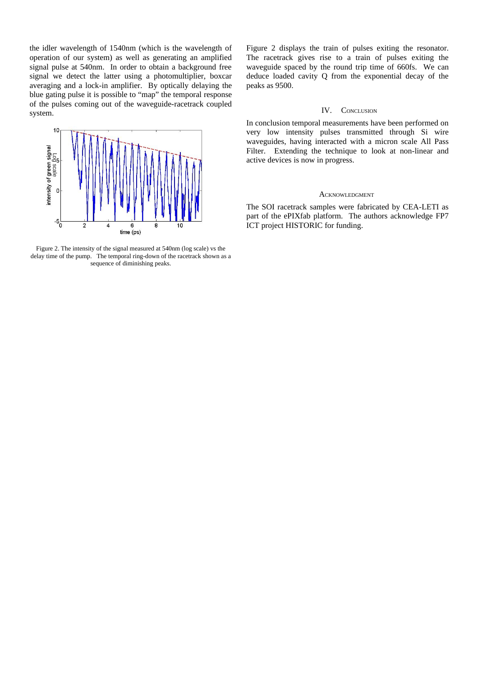the idler wavelength of 1540nm (which is the wavelength of operation of our system) as well as generating an amplified signal pulse at 540nm. In order to obtain a background free signal we detect the latter using a photomultiplier, boxcar averaging and a lock-in amplifier. By optically delaying the blue gating pulse it is possible to "map" the temporal response of the pulses coming out of the waveguide-racetrack coupled system.



Figure 2. The intensity of the signal measured at 540nm (log scale) vs the delay time of the pump. The temporal ring-down of the racetrack shown as a sequence of diminishing peaks.

Figure 2 displays the train of pulses exiting the resonator. The racetrack gives rise to a train of pulses exiting the waveguide spaced by the round trip time of 660fs. We can deduce loaded cavity Q from the exponential decay of the peaks as 9500.

## IV. CONCLUSION

In conclusion temporal measurements have been performed on very low intensity pulses transmitted through Si wire waveguides, having interacted with a micron scale All Pass Filter. Extending the technique to look at non-linear and active devices is now in progress.

### ACKNOWLEDGMENT

The SOI racetrack samples were fabricated by CEA-LETI as part of the ePIXfab platform. The authors acknowledge FP7 ICT project HISTORIC for funding.